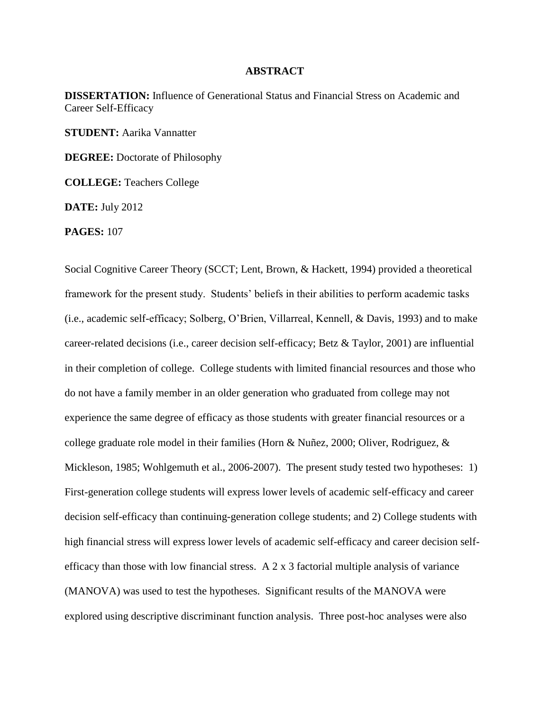## **ABSTRACT**

**DISSERTATION:** Influence of Generational Status and Financial Stress on Academic and Career Self-Efficacy

**STUDENT:** Aarika Vannatter

**DEGREE:** Doctorate of Philosophy

**COLLEGE:** Teachers College

**DATE:** July 2012

**PAGES:** 107

Social Cognitive Career Theory (SCCT; Lent, Brown, & Hackett, 1994) provided a theoretical framework for the present study. Students' beliefs in their abilities to perform academic tasks (i.e., academic self-efficacy; Solberg, O'Brien, Villarreal, Kennell, & Davis, 1993) and to make career-related decisions (i.e., career decision self-efficacy; Betz & Taylor, 2001) are influential in their completion of college. College students with limited financial resources and those who do not have a family member in an older generation who graduated from college may not experience the same degree of efficacy as those students with greater financial resources or a college graduate role model in their families (Horn & Nuñez, 2000; Oliver, Rodriguez, & Mickleson, 1985; Wohlgemuth et al., 2006-2007). The present study tested two hypotheses: 1) First-generation college students will express lower levels of academic self-efficacy and career decision self-efficacy than continuing-generation college students; and 2) College students with high financial stress will express lower levels of academic self-efficacy and career decision selfefficacy than those with low financial stress. A  $2 \times 3$  factorial multiple analysis of variance (MANOVA) was used to test the hypotheses. Significant results of the MANOVA were explored using descriptive discriminant function analysis. Three post-hoc analyses were also